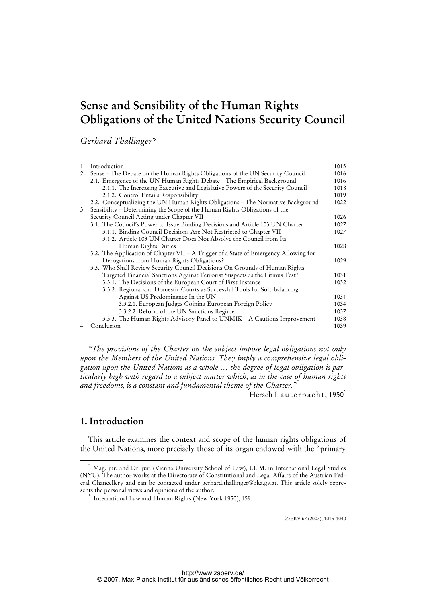# **Sense and Sensibility of the Human Rights Obligations of the United Nations Security Council**

*Gerhard Thallinger\** 

| 1. | Introduction                                                                         | 1015 |
|----|--------------------------------------------------------------------------------------|------|
| 2. | Sense – The Debate on the Human Rights Obligations of the UN Security Council        | 1016 |
|    | 2.1. Emergence of the UN Human Rights Debate – The Empirical Background              | 1016 |
|    | 2.1.1. The Increasing Executive and Legislative Powers of the Security Council       | 1018 |
|    | 2.1.2. Control Entails Responsibility                                                | 1019 |
|    | 2.2. Conceptualizing the UN Human Rights Obligations – The Normative Background      | 1022 |
| 3. | Sensibility – Determining the Scope of the Human Rights Obligations of the           |      |
|    | Security Council Acting under Chapter VII                                            | 1026 |
|    | 3.1. The Council's Power to Issue Binding Decisions and Article 103 UN Charter       | 1027 |
|    | 3.1.1. Binding Council Decisions Are Not Restricted to Chapter VII                   | 1027 |
|    | 3.1.2. Article 103 UN Charter Does Not Absolve the Council from Its                  |      |
|    | Human Rights Duties                                                                  | 1028 |
|    | 3.2. The Application of Chapter VII – A Trigger of a State of Emergency Allowing for |      |
|    | Derogations from Human Rights Obligations?                                           | 1029 |
|    | 3.3. Who Shall Review Security Council Decisions On Grounds of Human Rights -        |      |
|    | Targeted Financial Sanctions Against Terrorist Suspects as the Litmus Test?          | 1031 |
|    | 3.3.1. The Decisions of the European Court of First Instance                         | 1032 |
|    | 3.3.2. Regional and Domestic Courts as Successful Tools for Soft-balancing           |      |
|    | Against US Predominance In the UN                                                    | 1034 |
|    | 3.3.2.1. European Judges Coining European Foreign Policy                             | 1034 |
|    | 3.3.2.2. Reform of the UN Sanctions Regime                                           | 1037 |
|    | 3.3.3. The Human Rights Advisory Panel to UNMIK – A Cautious Improvement             | 1038 |
|    | 4. Conclusion                                                                        | 1039 |

*"The provisions of the Charter on the subject impose legal obligations not only upon the Members of the United Nations. They imply a comprehensive legal obligation upon the United Nations as a whole … the degree of legal obligation is particularly high with regard to a subject matter which, as in the case of human rights and freedoms, is a constant and fundamental theme of the Charter."* 

Hersch Lauterpacht,  $1950^1$ 

### **1. Introduction**

This article examines the context and scope of the human rights obligations of the United Nations, more precisely those of its organ endowed with the "primary

ZaöRV 67 (2007), 1015-1040

 <sup>\*</sup> Mag. jur. and Dr. jur. (Vienna University School of Law), LL.M. in International Legal Studies (NYU). The author works at the Directorate of Constitutional and Legal Affairs of the Austrian Federal Chancellery and can be contacted under gerhard.thallinger@bka.gv.at. This article solely represents the personal views and opinions of the author.

<sup>1</sup> International Law and Human Rights (New York 1950), 159.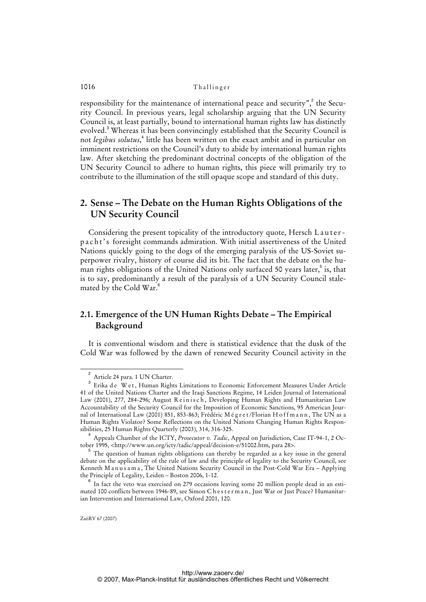responsibility for the maintenance of international peace and security",<sup>2</sup> the Security Council. In previous years, legal scholarship arguing that the UN Security Council is, at least partially, bound to international human rights law has distinctly evolved.<sup>3</sup> Whereas it has been convincingly established that the Security Council is not *legibus solutus*, 4 little has been written on the exact ambit and in particular on imminent restrictions on the Council's duty to abide by international human rights law. After sketching the predominant doctrinal concepts of the obligation of the UN Security Council to adhere to human rights, this piece will primarily try to contribute to the illumination of the still opaque scope and standard of this duty.

### **2. Sense – The Debate on the Human Rights Obligations of the UN Security Council**

Considering the present topicality of the introductory quote, Hersch Lauterp a c h t's foresight commands admiration. With initial assertiveness of the United Nations quickly going to the dogs of the emerging paralysis of the US-Soviet superpower rivalry, history of course did its bit. The fact that the debate on the human rights obligations of the United Nations only surfaced 50 years later,<sup>5</sup> is, that is to say, predominantly a result of the paralysis of a UN Security Council stalemated by the Cold War.<sup>6</sup>

### **2.1. Emergence of the UN Human Rights Debate – The Empirical Background**

It is conventional wisdom and there is statistical evidence that the dusk of the Cold War was followed by the dawn of renewed Security Council activity in the

<sup>2</sup> Article 24 para. 1 UN Charter.

 $^3$  Erika de Wet, Human Rights Limitations to Economic Enforcement Measures Under Article 41 of the United Nations Charter and the Iraqi Sanctions Regime, 14 Leiden Journal of International Law (2001), 277, 284-296; August Reinisch, Developing Human Rights and Humanitarian Law Accountability of the Security Council for the Imposition of Economic Sanctions, 95 American Journal of International Law (2001) 851, 853-863; Frédéric Mégret/Florian Hoffmann, The UN as a Human Rights Violator? Some Reflections on the United Nations Changing Human Rights Responsibilities, 25 Human Rights Quarterly (2003), 314, 316-325.

<sup>4</sup> Appeals Chamber of the ICTY, *Prosecutor v. Tadic*, Appeal on Jurisdiction, Case IT-94-1, 2 October 1995, <[http://www.un.org/icty/tadic/appeal/decision-e/51002.htm,](http://www.un.org/icty/tadic/appeal/decision-e/51002.htm) para 28>.

<sup>&</sup>lt;sup>5</sup> The question of human rights obligations can thereby be regarded as a key issue in the general debate on the applicability of the rule of law and the principle of legality to the Security Council, see Kenneth M a n u s a m a , The United Nations Security Council in the Post-Cold War Era – Applying the Principle of Legality, Leiden – Boston 2006, 1-12.

 $6$  In fact the veto was exercised on 279 occasions leaving some 20 million people dead in an estimated 100 conflicts between 1946-89, see Simon Chesterman, Just War or Just Peace? Humanitarian Intervention and International Law, Oxford 2001, 120.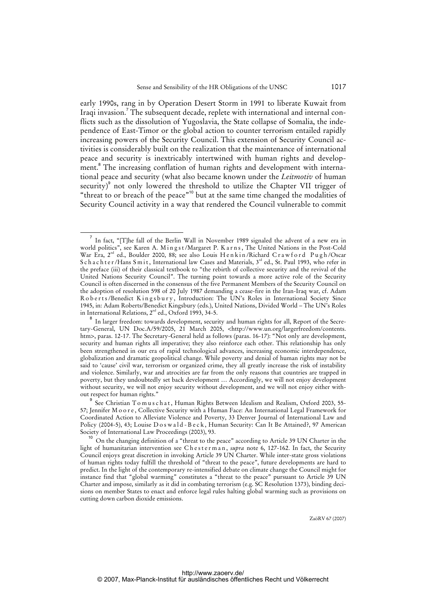early 1990s, rang in by Operation Desert Storm in 1991 to liberate Kuwait from Iraqi invasion.<sup>7</sup> The subsequent decade, replete with international and internal conflicts such as the dissolution of Yugoslavia, the State collapse of Somalia, the independence of East-Timor or the global action to counter terrorism entailed rapidly increasing powers of the Security Council. This extension of Security Council activities is considerably built on the realization that the maintenance of international peace and security is inextricably intertwined with human rights and development.<sup>8</sup> The increasing conflation of human rights and development with international peace and security (what also became known under the *Leitmotiv* of human security)<sup>9</sup> not only lowered the threshold to utilize the Chapter VII trigger of "threat to or breach of the peace"<sup>10</sup> but at the same time changed the modalities of Security Council activity in a way that rendered the Council vulnerable to commit

<sup>7</sup> In fact, "[T]he fall of the Berlin Wall in November 1989 signaled the advent of a new era in world politics", see Karen A. Mingst/Margaret P. Karns, The United Nations in the Post-Cold War Era, 2<sup>nd</sup> ed., Boulder 2000, 88; see also Louis H e n k in /Richard C r a w f o r d P u g h /Oscar S c h a c h t e r /Hans S m i t, International law Cases and Materials, 3<sup>rd</sup> ed., St. Paul 1993, who refer in the preface (iii) of their classical textbook to "the rebirth of collective security and the revival of the United Nations Security Council". The turning point towards a more active role of the Security Council is often discerned in the consensus of the five Permanent Members of the Security Council on the adoption of resolution 598 of 20 July 1987 demanding a cease-fire in the Iran-Iraq war, cf. Adam Roberts/Benedict Kingsbury, Introduction: The UN's Roles in International Society Since 1945, in: Adam Roberts/Benedict Kingsbury (eds.), United Nations, Divided World – The UN's Roles in International Relations,  $2<sup>nd</sup>$  ed., Oxford 1993, 34-5.

 $^8$  In larger freedom: towards development, security and human rights for all, Report of the Secretary-General, UN Doc.A/59/2005, 21 March 2005, [<http://www.un.org/largerfreedom/contents.](http://www.un.org/largerfreedom/contents) htm>, paras. 12-17. The Secretary-General held as follows (paras. 16-17): "Not only are development, security and human rights all imperative; they also reinforce each other. This relationship has only been strengthened in our era of rapid technological advances, increasing economic interdependence, globalization and dramatic geopolitical change. While poverty and denial of human rights may not be said to 'cause' civil war, terrorism or organized crime, they all greatly increase the risk of instability and violence. Similarly, war and atrocities are far from the only reasons that countries are trapped in poverty, but they undoubtedly set back development … Accordingly, we will not enjoy development without security, we will not enjoy security without development, and we will not enjoy either without respect for human rights."

 $^9$  See Christian Tomuschat, Human Rights Between Idealism and Realism, Oxford 2003, 55-57; Jennifer Moore, Collective Security with a Human Face: An International Legal Framework for Coordinated Action to Alleviate Violence and Poverty, 33 Denver Journal of International Law and Policy (2004-5), 43; Louise D o s w a l d - B e c k, Human Security: Can It Be Attained?, 97 American Society of International Law Proceedings (2003), 93.

<sup>10</sup> On the changing definition of a "threat to the peace" according to Article 39 UN Charter in the light of humanitarian intervention see Chesterman, *supra* note 6, 127-162. In fact, the Security Council enjoys great discretion in invoking Article 39 UN Charter. While inter-state gross violations of human rights today fulfill the threshold of "threat to the peace", future developments are hard to predict. In the light of the contemporary re-intensified debate on climate change the Council might for instance find that "global warming" constitutes a "threat to the peace" pursuant to Article 39 UN Charter and impose, similarly as it did in combating terrorism (e.g. SC Resolution 1373), binding decisions on member States to enact and enforce legal rules halting global warming such as provisions on cutting down carbon dioxide emissions.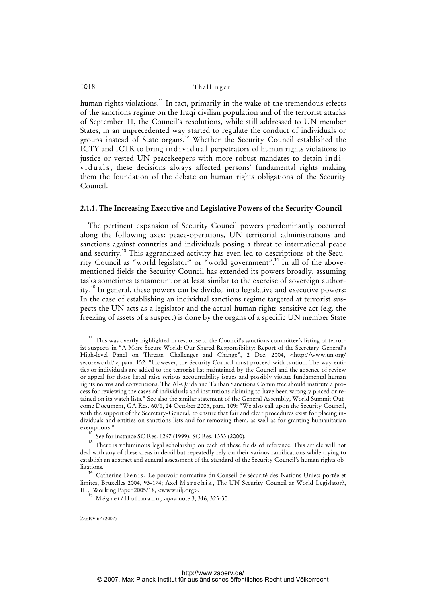human rights violations.<sup>11</sup> In fact, primarily in the wake of the tremendous effects of the sanctions regime on the Iraqi civilian population and of the terrorist attacks of September 11, the Council's resolutions, while still addressed to UN member States, in an unprecedented way started to regulate the conduct of individuals or groups instead of State organs.<sup>12</sup> Whether the Security Council established the ICTY and ICTR to bring individual perpetrators of human rights violations to justice or vested UN peacekeepers with more robust mandates to detain individuals, these decisions always affected persons' fundamental rights making them the foundation of the debate on human rights obligations of the Security Council.

#### **2.1.1. The Increasing Executive and Legislative Powers of the Security Council**

The pertinent expansion of Security Council powers predominantly occurred along the following axes: peace-operations, UN territorial administrations and sanctions against countries and individuals posing a threat to international peace and security.<sup>13</sup> This aggrandized activity has even led to descriptions of the Security Council as "world legislator" or "world government".<sup>14</sup> In all of the abovementioned fields the Security Council has extended its powers broadly, assuming tasks sometimes tantamount or at least similar to the exercise of sovereign authority.<sup>15</sup> In general, these powers can be divided into legislative and executive powers: In the case of establishing an individual sanctions regime targeted at terrorist suspects the UN acts as a legislator and the actual human rights sensitive act (e.g. the freezing of assets of a suspect) is done by the organs of a specific UN member State

<sup>&</sup>lt;sup>11</sup> This was overtly highlighted in response to the Council's sanctions committee's listing of terrorist suspects in "A More Secure World: Our Shared Responsibility: Report of the Secretary General's High-level Panel on Threats, Challenges and Change", 2 Dec. 2004, [<http://www.un.org/](http://www.un.org/) secureworld/>, para. 152: "However, the Security Council must proceed with caution. The way entities or individuals are added to the terrorist list maintained by the Council and the absence of review or appeal for those listed raise serious accountability issues and possibly violate fundamental human rights norms and conventions. The Al-Qaida and Taliban Sanctions Committee should institute a process for reviewing the cases of individuals and institutions claiming to have been wrongly placed or retained on its watch lists." See also the similar statement of the General Assembly, World Summit Outcome Document, GA Res. 60/1, 24 October 2005, para. 109: "We also call upon the Security Council, with the support of the Secretary-General, to ensure that fair and clear procedures exist for placing individuals and entities on sanctions lists and for removing them, as well as for granting humanitarian exemptions."

<sup>&</sup>lt;sup>2</sup> See for instance SC Res. 1267 (1999); SC Res. 1333 (2000).

<sup>&</sup>lt;sup>13</sup> There is voluminous legal scholarship on each of these fields of reference. This article will not deal with any of these areas in detail but repeatedly rely on their various ramifications while trying to establish an abstract and general assessment of the standard of the Security Council's human rights obligations.

<sup>&</sup>lt;sup>14</sup> Catherine D e n i s, Le pouvoir normative du Conseil de sécurité des Nations Unies: portée et limites, Bruxelles 2004, 93-174; Axel Marschik, The UN Security Council as World Legislator?, IILJ Working Paper 2005/18, <www.iilj.org>.

<sup>&</sup>lt;sup>5</sup> M é g r e t / H o f f m a n n , *supra* note 3, 316, 325-30.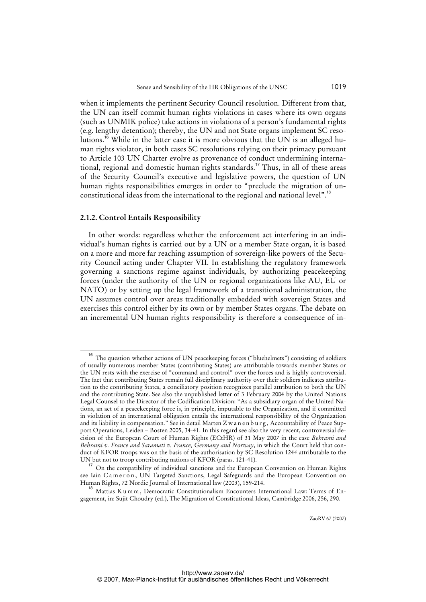when it implements the pertinent Security Council resolution. Different from that, the UN can itself commit human rights violations in cases where its own organs (such as UNMIK police) take actions in violations of a person's fundamental rights (e.g. lengthy detention); thereby, the UN and not State organs implement SC resolutions.<sup>16</sup> While in the latter case it is more obvious that the UN is an alleged human rights violator, in both cases SC resolutions relying on their primacy pursuant to Article 103 UN Charter evolve as provenance of conduct undermining international, regional and domestic human rights standards.<sup>17</sup> Thus, in all of these areas of the Security Council's executive and legislative powers, the question of UN human rights responsibilities emerges in order to "preclude the migration of unconstitutional ideas from the international to the regional and national level".<sup>18</sup>

#### **2.1.2. Control Entails Responsibility**

In other words: regardless whether the enforcement act interfering in an individual's human rights is carried out by a UN or a member State organ, it is based on a more and more far reaching assumption of sovereign-like powers of the Security Council acting under Chapter VII. In establishing the regulatory framework governing a sanctions regime against individuals, by authorizing peacekeeping forces (under the authority of the UN or regional organizations like AU, EU or NATO) or by setting up the legal framework of a transitional administration, the UN assumes control over areas traditionally embedded with sovereign States and exercises this control either by its own or by member States organs. The debate on an incremental UN human rights responsibility is therefore a consequence of in-

The question whether actions of UN peacekeeping forces ("bluehelmets") consisting of soldiers of usually numerous member States (contributing States) are attributable towards member States or the UN rests with the exercise of "command and control" over the forces and is highly controversial. The fact that contributing States remain full disciplinary authority over their soldiers indicates attribution to the contributing States, a conciliatory position recognizes parallel attribution to both the UN and the contributing State. See also the unpublished letter of 3 February 2004 by the United Nations Legal Counsel to the Director of the Codification Division: "As a subsidiary organ of the United Nations, an act of a peacekeeping force is, in principle, imputable to the Organization, and if committed in violation of an international obligation entails the international responsibility of the Organization and its liability in compensation." See in detail Marten Z w a n e n b u r g , Accountability of Peace Support Operations, Leiden – Bosten 2005, 34-41. In this regard see also the very recent, controversial decision of the European Court of Human Rights (ECtHR) of 31 May 2007 in the case *Behrami and Behrami v. France and Saramati v. France, Germany and Norway*, in which the Court held that conduct of KFOR troops was on the basis of the authorisation by SC Resolution 1244 attributable to the UN but not to troop contributing nations of KFOR (paras. 121-41).

<sup>&</sup>lt;sup>17</sup> On the compatibility of individual sanctions and the European Convention on Human Rights see Iain Cameron, UN Targeted Sanctions, Legal Safeguards and the European Convention on Human Rights, 72 Nordic Journal of International law (2003), 159-214.

<sup>&</sup>lt;sup>18</sup> Mattias K u m m, Democratic Constitutionalism Encounters International Law: Terms of Engagement, in: Sujit Choudry (ed.), The Migration of Constitutional Ideas, Cambridge 2006, 256, 290.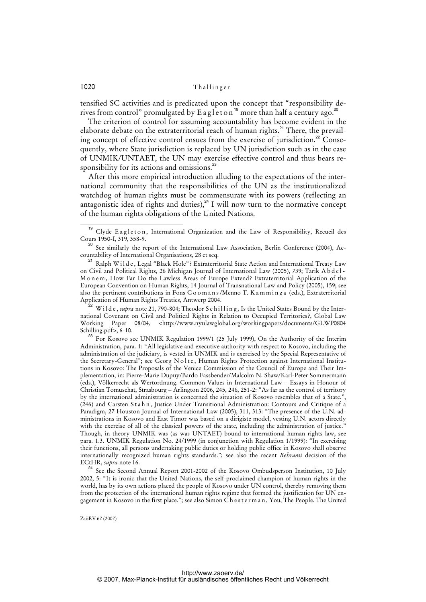tensified SC activities and is predicated upon the concept that "responsibility derives from control" promulgated by E a g l e t o n<sup>19</sup> more than half a century ago.<sup>2</sup>

The criterion of control for assuming accountability has become evident in the elaborate debate on the extraterritorial reach of human rights.<sup>21</sup> There, the prevailing concept of effective control ensues from the exercise of jurisdiction.<sup>22</sup> Consequently, where State jurisdiction is replaced by UN jurisdiction such as in the case of UNMIK/UNTAET, the UN may exercise effective control and thus bears responsibility for its actions and omissions.<sup>23</sup>

After this more empirical introduction alluding to the expectations of the international community that the responsibilities of the UN as the institutionalized watchdog of human rights must be commensurate with its powers (reflecting an antagonistic idea of rights and duties), $24$  I will now turn to the normative concept of the human rights obligations of the United Nations.

<sup>22</sup> W i l d e , *supra* note 21, 790-804; Theodor S c h i lling *,* Is the United States Bound by the International Covenant on Civil and Political Rights in Relation to Occupied Territories?, Global Law Working Paper 08/04, <<http://www.nyulawglobal.org/workingpapers/documents/GLWP0804> Schilling.pdf>, 6-10.

<sup>23</sup> For Kosovo see UNMIK Regulation 1999/1 (25 July 1999), On the Authority of the Interim Administration, para. 1: "All legislative and executive authority with respect to Kosovo, including the administration of the judiciary, is vested in UNMIK and is exercised by the Special Representative of the Secretary-General"; see Georg Nolte, Human Rights Protection against International Institutions in Kosovo: The Proposals of the Venice Commission of the Council of Europe and Their Implementation, in: Pierre-Marie Dupuy/Bardo Fassbender/Malcolm N. Shaw/Karl-Peter Sommermann (eds.), Völkerrecht als Wertordnung. Common Values in International Law – Essays in Honour of Christian Tomuschat, Strasbourg – Arlington 2006, 245, 246, 251-2: "As far as the control of territory by the international administration is concerned the situation of Kosovo resembles that of a State.' (246) and Carsten Stahn, Justice Under Transitional Administration: Contours and Critique of a Paradigm, 27 Houston Journal of International Law (2005), 311, 313: "The presence of the U.N. administrations in Kosovo and East Timor was based on a dirigiste model, vesting U.N. actors directly with the exercise of all of the classical powers of the state, including the administration of justice." Though, in theory UNMIK was (as was UNTAET) bound to international human rights law, see para. 1.3. UNMIK Regulation No. 24/1999 (in conjunction with Regulation 1/1999): "In exercising their functions, all persons undertaking public duties or holding public office in Kosovo shall observe internationally recognized human rights standards."; see also the recent *Behrami* decision of the ECtHR, *supra* note 16.

<sup>24</sup> See the Second Annual Report 2001-2002 of the Kosovo Ombudsperson Institution, 10 July 2002, 5: "It is ironic that the United Nations, the self-proclaimed champion of human rights in the world, has by its own actions placed the people of Kosovo under UN control, thereby removing them from the protection of the international human rights regime that formed the justification for UN engagement in Kosovo in the first place."; see also Simon C h e s t e r m a n , You, The People. The United

<sup>&</sup>lt;sup>19</sup> Clyde Eagleton, International Organization and the Law of Responsibility, Recueil des Cours 1950-I, 319, 358-9.

<sup>&</sup>lt;sup>20</sup> See similarly the report of the International Law Association, Berlin Conference (2004), Accountability of International Organisations, 28 et seq.

Ralph Wilde, Legal "Black Hole"? Extraterritorial State Action and International Treaty Law on Civil and Political Rights, 26 Michigan Journal of International Law (2005), 739; Tarik A b d e l - M o n e m, How Far Do the Lawless Areas of Europe Extend? Extraterritorial Application of the European Convention on Human Rights, 14 Journal of Transnational Law and Policy (2005), 159; see also the pertinent contributions in Fons C o o m a n s /Menno T. K a m m i n g a (eds.), Extraterritorial Application of Human Rights Treaties, Antwerp 2004.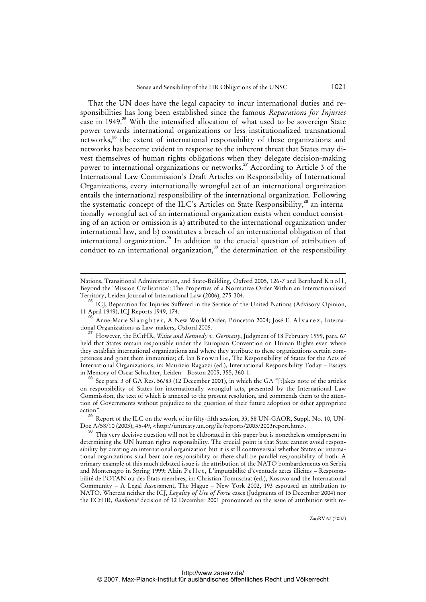That the UN does have the legal capacity to incur international duties and responsibilities has long been established since the famous *Reparations for Injuries* case in 1949.<sup>25</sup> With the intensified allocation of what used to be sovereign State power towards international organizations or less institutionalized transnational networks,<sup>26</sup> the extent of international responsibility of these organizations and networks has become evident in response to the inherent threat that States may divest themselves of human rights obligations when they delegate decision-making power to international organizations or networks.<sup>27</sup> According to Article 3 of the International Law Commission's Draft Articles on Responsibility of International Organizations, every internationally wrongful act of an international organization entails the international responsibility of the international organization. Following the systematic concept of the ILC's Articles on State Responsibility,<sup>28</sup> an internationally wrongful act of an international organization exists when conduct consisting of an action or omission is a) attributed to the international organization under international law, and b) constitutes a breach of an international obligation of that international organization.<sup>29</sup> In addition to the crucial question of attribution of conduct to an international organization, $3^\circ$  the determination of the responsibility

l

Nations, Transitional Administration, and State-Building, Oxford 2005, 126-7 and Bernhard K n o l l, Beyond the 'Mission Civilisatrice': The Properties of a Normative Order Within an Internationalised Territory, Leiden Journal of International Law (2006), 275-304.

<sup>25</sup> ICJ, Reparation for Injuries Suffered in the Service of the United Nations (Advisory Opinion, 11 April 1949), ICJ Reports 1949, 174.

Anne-Marie Slaughter, A New World Order, Princeton 2004; José E. Alvarez, International Organizations as Law-makers, Oxford 2005.

<sup>27</sup> However, the ECtHR, *Waite and Kennedy v. Germany*, Judgment of 18 February 1999, para. 67 held that States remain responsible under the European Convention on Human Rights even where they establish international organizations and where they attribute to these organizations certain competences and grant them immunities; cf. Ian B r o w n li e, The Responsibility of States for the Acts of International Organizations, in: Maurizio Ragazzi (ed.), International Responsibility Today – Essays in Memory of Oscar Schachter, Leiden – Boston 2005, 355, 360-1.

<sup>28</sup> See para. 3 of GA Res. 56/83 (12 December 2001), in which the GA "[t]akes note of the articles on responsibility of States for internationally wrongful acts, presented by the International Law Commission, the text of which is annexed to the present resolution, and commends them to the attention of Governments without prejudice to the question of their future adoption or other appropriate action".

 $^{29}$  Report of the ILC on the work of its fifty-fifth session, 33, 58 UN-GAOR, Suppl. No. 10, UN-Doc A/58/10 (2003), 45-49, <<http://untreaty.un.org/ilc/reports/2003/2003report.htm>>.

<sup>&</sup>lt;sup>30</sup> This very decisive question will not be elaborated in this paper but is nonetheless omnipresent in determining the UN human rights responsibility. The crucial point is that State cannot avoid responsibility by creating an international organization but it is still controversial whether States or international organizations shall bear sole responsibility or there shall be parallel responsibility of both. A primary example of this much debated issue is the attribution of the NATO bombardements on Serbia and Montenegro in Spring 1999; Alain P e l l e t, L'imputabilité d'éventuels actes illicites - Responsabilité de l'OTAN ou des États membres, in: Christian Tomuschat (ed.), Kosovo and the International Community – A Legal Assessment, The Hague – New York 2002, 193 espoused an attribution to NATO. Whereas neither the ICJ, *Legality of Use of Force* cases (Judgments of 15 December 2004) nor the ECtHR, *Banković* decision of 12 [December 2001 pronounced on the issue of attribution with re-](re-http://www.zaoerv.de/)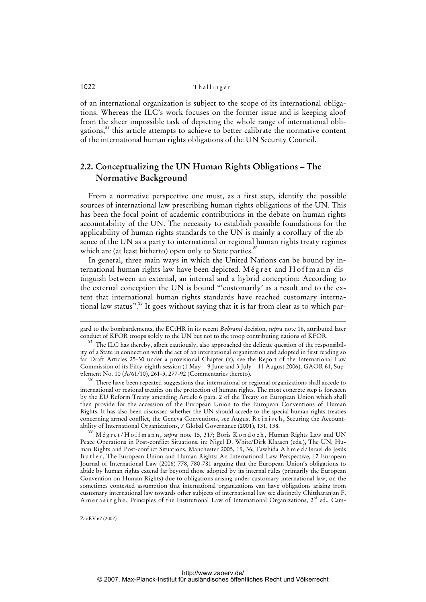of an international organization is subject to the scope of its international obligations. Whereas the ILC's work focuses on the former issue and is keeping aloof from the sheer impossible task of depicting the whole range of international obligations,<sup>31</sup> this article attempts to achieve to better calibrate the normative content of the international human rights obligations of the UN Security Council.

### **2.2. Conceptualizing the UN Human Rights Obligations – The Normative Background**

From a normative perspective one must, as a first step, identify the possible sources of international law prescribing human rights obligations of the UN. This has been the focal point of academic contributions in the debate on human rights accountability of the UN. The necessity to establish possible foundations for the applicability of human rights standards to the UN is mainly a corollary of the absence of the UN as a party to international or regional human rights treaty regimes which are (at least hitherto) open only to State parties.<sup>32</sup>

In general, three main ways in which the United Nations can be bound by international human rights law have been depicted. Mégret and Hoffmann distinguish between an external, an internal and a hybrid conception: According to the external conception the UN is bound "'customarily' as a result and to the extent that international human rights standards have reached customary international law status".<sup>33</sup> It goes without saying that it is far from clear as to which par-

l

gard to the bombardements, the ECtHR in its recent *Behrami* decision, *supra* note 16, attributed later conduct of KFOR troops solely to the UN but not to the troop contributing nations of KFOR.

<sup>&</sup>lt;sup>31</sup> The ILC has thereby, albeit cautiously, also approached the delicate question of the responsibility of a State in connection with the act of an international organization and adopted in first reading so far Draft Articles 25-30 under a provisional Chapter (x), see the Report of the International Law Commission of its Fifty-eighth session (1 May – 9 June and 3 July – 11 August 2006), GAOR 61, Supplement No. 10 (A/61/10), 261-3, 277-92 (Commentaries thereto).

<sup>&</sup>lt;sup>32</sup> There have been repeated suggestions that international or regional organizations shall accede to international or regional treaties on the protection of human rights. The most concrete step is foreseen by the EU Reform Treaty amending Article 6 para. 2 of the Treaty on European Union which shall then provide for the accession of the European Union to the European Conventions of Human Rights. It has also been discussed whether the UN should accede to the special human rights treaties concerning armed conflict, the Geneva Conventions, see August R e in is c h, Securing the Accountability of International Organizations, 7 Global Governance (2001), 131, 138.

<sup>&</sup>lt;sup>3</sup> M é g r e t / H o f f m a n n , *supra* note 15, 317; Boris K o n d o c h , Human Rights Law and UN Peace Operations in Post-conflict Situations, in: Nigel D. White/Dirk Klaasen (eds.), The UN, Human Rights and Post-conflict Situations, Manchester 2005, 19, 36; Tawhida A h m e d / Israel de Jesús Butler, The European Union and Human Rights: An International Law Perspective, 17 European Journal of International Law (2006) 778, 780-781 arguing that the European Union's obligations to abide by human rights extend far beyond those adopted by its internal rules (primarily the European Convention on Human Rights) due to obligations arising under customary international law; on the sometimes contested assumption that international organizations can have obligations arising from customary international law towards other subjects of international law see distinctly Chittharanjan F. A m e r a s i n g h e, Principles of the Institutional Law of International Organizations, 2<sup>nd</sup> ed., Cam-

ZaöRV 67 (2007)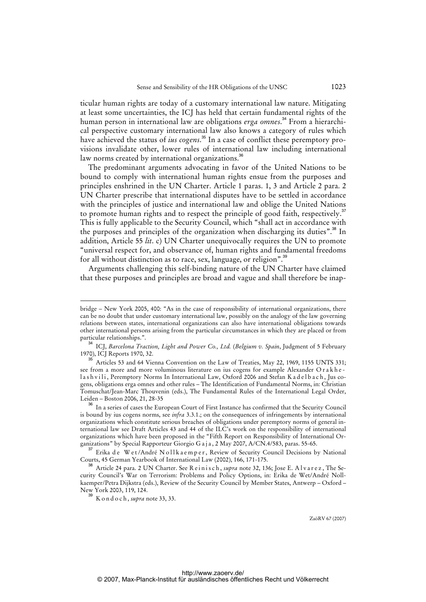ticular human rights are today of a customary international law nature. Mitigating at least some uncertainties, the ICJ has held that certain fundamental rights of the human person in international law are obligations *erga omnes*. <sup>34</sup> From a hierarchical perspective customary international law also knows a category of rules which have achieved the status of *ius cogens*. <sup>35</sup> In a case of conflict these peremptory provisions invalidate other, lower rules of international law including international law norms created by international organizations.<sup>36</sup>

The predominant arguments advocating in favor of the United Nations to be bound to comply with international human rights ensue from the purposes and principles enshrined in the UN Charter. Article 1 paras. 1, 3 and Article 2 para. 2 UN Charter prescribe that international disputes have to be settled in accordance with the principles of justice and international law and oblige the United Nations to promote human rights and to respect the principle of good faith, respectively.<sup>37</sup> This is fully applicable to the Security Council, which "shall act in accordance with the purposes and principles of the organization when discharging its duties".<sup>38</sup> In addition, Article 55 *lit*. c) UN Charter unequivocally requires the UN to promote "universal respect for, and observance of, human rights and fundamental freedoms for all without distinction as to race, sex, language, or religion".<sup>39</sup>

Arguments challenging this self-binding nature of the UN Charter have claimed that these purposes and principles are broad and vague and shall therefore be inap-

l

bridge – New York 2005, 400: "As in the case of responsibility of international organizations, there can be no doubt that under customary international law, possibly on the analogy of the law governing relations between states, international organizations can also have international obligations towards other international persons arising from the particular circumstances in which they are placed or from particular relationships.".

<sup>&</sup>lt;sup>4</sup> ICJ, *Barcelona Traction, Light and Power Co., Ltd. (Belgium v. Spain,* Judgment of 5 February 1970), ICJ Reports 1970, 32.

Articles 53 and 64 Vienna Convention on the Law of Treaties, May 22, 1969, 1155 UNTS 331; see from a more and more voluminous literature on ius cogens for example Alexander Or a k h e lashvili, Peremptory Norms In International Law, Oxford 2006 and Stefan K a delbach, Jus cogens, obligations erga omnes and other rules – The Identification of Fundamental Norms, in: Christian Tomuschat/Jean-Marc Thouvenin (eds.), The Fundamental Rules of the International Legal Order, Leiden – Boston 2006, 21, 28-35

In a series of cases the European Court of First Instance has confirmed that the Security Council is bound by ius cogens norms, see *infra* 3.3.1.; on the consequences of infringements by international organizations which constitute serious breaches of obligations under peremptory norms of general international law see Draft Articles 43 and 44 of the ILC's work on the responsibility of international organizations which have been proposed in the "Fifth Report on Responsibility of International Organizations" by Special Rapporteur Giorgio G a j a, 2 May 2007, A/CN.4/583, paras. 55-65.

<sup>&</sup>lt;sup>37</sup> Erika de Wet/André Nollkaemper, Review of Security Council Decisions by National Courts, 45 German Yearbook of International Law (2002), 166, 171-175.

<sup>&</sup>lt;sup>38</sup> Article 24 para. 2 UN Charter. See R e i n i s c h, *supra* note 32, 136; Jose E. A l v a r e z, The Security Council's War on Terrorism: Problems and Policy Options, in: Erika de Wet/André Nollkaemper/Petra Dijkstra (eds.), Review of the Security Council by Member States, Antwerp – Oxford – New York 2003, 119, 124.

<sup>39</sup> K o n d o c h , *supra* note 33, 33.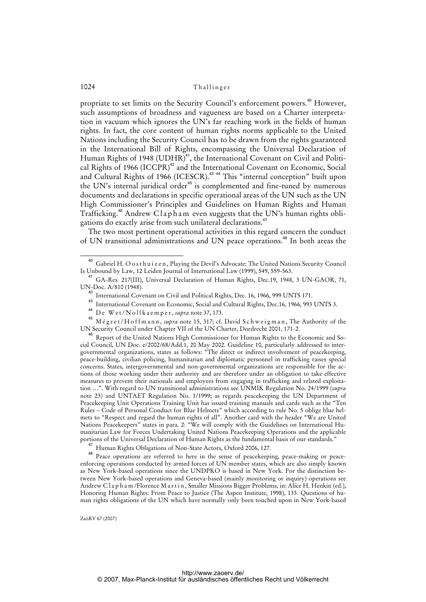propriate to set limits on the Security Council's enforcement powers.<sup>40</sup> However, such assumptions of broadness and vagueness are based on a Charter interpretation in vacuum which ignores the UN's far reaching work in the fields of human rights. In fact, the core content of human rights norms applicable to the United Nations including the Security Council has to be drawn from the rights guaranteed in the International Bill of Rights, encompassing the Universal Declaration of Human Rights of 1948 (UDHR)<sup>41</sup>, the International Covenant on Civil and Political Rights of 1966 (ICCPR)<sup>42</sup> and the International Covenant on Economic, Social and Cultural Rights of 1966 (ICESCR).<sup>43 44</sup> This "internal conception" built upon the UN's internal juridical order<sup>45</sup> is complemented and fine-tuned by numerous documents and declarations in specific operational areas of the UN such as the UN High Commissioner's Principles and Guidelines on Human Rights and Human Trafficking.<sup>46</sup> Andrew Clapham even suggests that the UN's human rights obligations do exactly arise from such unilateral declarations.<sup>47</sup>

The two most pertinent operational activities in this regard concern the conduct of UN transitional administrations and UN peace operations.<sup>48</sup> In both areas the

<sup>&</sup>lt;sup>40</sup> Gabriel H. O o s thuizen, Playing the Devil's Advocate: The United Nations Security Council Is Unbound by Law, 12 Leiden Journal of International Law (1999), 549, 559-563.

<sup>41</sup> GA-Res. 217(III), Universal Declaration of Human Rights, Dec.19, 1948, 3 UN-GAOR, 71, UN-Doc. A/810 (1948).

<sup>42</sup> International Covenant on Civil and Political Rights, Dec. 16, 1966, 999 UNTS 171.

<sup>43</sup> International Covenant on Economic, Social and Cultural Rights, Dec.16, 1966, 993 UNTS 3.

De Wet/Nollkaemper, *supra* note 37, 173.

<sup>&</sup>lt;sup>45</sup> Mégret/Hoffmann, *supra* note 15, 317; cf. David Schweigman, The Authority of the UN Security Council under Chapter VII of the UN Charter, Dordrecht 2001, 171-2.

A6 Report of the United Nations High Commissioner for Human Rights to the Economic and Social Council, UN Doc. e/2002/68/Add.1, 20 May 2002. Guideline 10, particularly addressed to intergovernmental organizations, states as follows: "The direct or indirect involvement of peacekeeping, peace-building, civilian policing, humanitarian and diplomatic personnel in trafficking raises special concerns. States, intergovernmental and non-governmental organizations are responsible for the actions of those working under their authority and are therefore under an obligation to take effective measures to prevent their nationals and employees from engaging in trafficking and related exploitation …". With regard to UN transitional administrations see UNMIK Regulation No. 24/1999 (*supra* note 23) and UNTAET Regulation No. 1/1999; as regards peacekeeping the UN Department of Peacekeeping Unit Operations Training Unit has issued training manuals and cards such as the "Ten Rules – Code of Personal Conduct for Blue Helmets" which according to rule No. 5 oblige blue helmets to "Respect and regard the human rights of all". Another card with the header "We are United Nations Peacekeepers" states in para. 2: "We will comply with the Guidelines on International Humanitarian Law for Forces Undertaking United Nations Peacekeeping Operations and the applicable portions of the Universal Declaration of Human Rights as the fundamental basis of our standards."

<sup>&</sup>lt;sup>47</sup> Human Rights Obligations of Non-State Actors, Oxford 2006, 127.

Peace operations are referred to here in the sense of peacekeeping, peace-making or peaceenforcing operations conducted by armed forces of UN member states, which are also simply known as New York-based operations since the UNDPKO is based in New York. For the distinction between New York-based operations and Geneva-based (mainly monitoring or inquiry) operations see Andrew C l a p h a m /Florence M a r t i n , Smaller Missions Bigger Problems, in: Alice H. Henkin (ed.), Honoring Human Rights: From Peace to Justice (The Aspen Institute, 1998), 133. Questions of human rights obligations of the UN which have normally only been touched upon in New York-based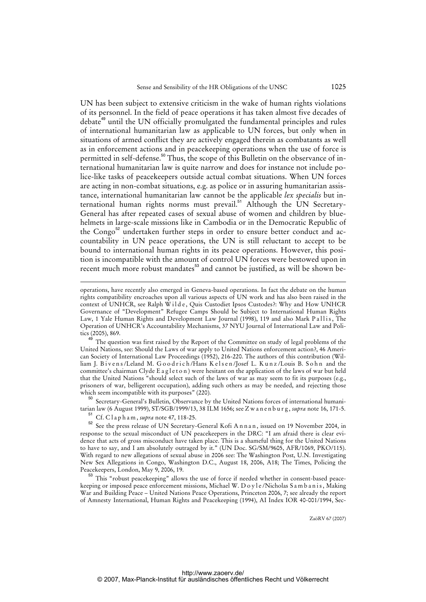UN has been subject to extensive criticism in the wake of human rights violations of its personnel. In the field of peace operations it has taken almost five decades of debate<sup>49</sup> until the UN officially promulgated the fundamental principles and rules of international humanitarian law as applicable to UN forces, but only when in situations of armed conflict they are actively engaged therein as combatants as well as in enforcement actions and in peacekeeping operations when the use of force is permitted in self-defense.<sup>50</sup> Thus, the scope of this Bulletin on the observance of international humanitarian law is quite narrow and does for instance not include police-like tasks of peacekeepers outside actual combat situations. When UN forces are acting in non-combat situations, e.g. as police or in assuring humanitarian assistance, international humanitarian law cannot be the applicable *lex specialis* but international human rights norms must prevail.<sup>51</sup> Although the UN Secretary-General has after repeated cases of sexual abuse of women and children by bluehelmets in large-scale missions like in Cambodia or in the Democratic Republic of the Congo<sup>52</sup> undertaken further steps in order to ensure better conduct and accountability in UN peace operations, the UN is still reluctant to accept to be bound to international human rights in its peace operations. However, this position is incompatible with the amount of control UN forces were bestowed upon in recent much more robust mandates<sup>53</sup> and cannot be justified, as will be shown be-

The question was first raised by the Report of the Committee on study of legal problems of the United Nations, see: Should the Laws of war apply to United Nations enforcement action?, 46 American Society of International Law Proceedings (1952), 216-220. The authors of this contribution (William J. Bivens/Leland M. Goodrich/Hans Kelsen/Josef L. Kunz/Louis B. Sohn and the committee's chairman Clyde E a g l e t o n ) were hesitant on the application of the laws of war but held that the United Nations "should select such of the laws of war as may seem to fit its purposes (e.g., prisoners of war, belligerent occupation), adding such others as may be needed, and rejecting those which seem incompatible with its purposes" (220).

<sup>50</sup> Secretary-General's Bulletin, Observance by the United Nations forces of international humanitarian law (6 August 1999), ST/SGB/1999/13, 38 ILM 1656; see Z w a n e n b u r g , *supra* note 16, 171-5.

<sup>51</sup> Cf. C l a p h a m , *supra* note 47, 118-25.

l

52 See the press release of UN Secretary-General Kofi Annan, issued on 19 November 2004, in response to the sexual misconduct of UN peacekeepers in the DRC: "I am afraid there is clear evidence that acts of gross misconduct have taken place. This is a shameful thing for the United Nations to have to say, and I am absolutely outraged by it." (UN Doc. SG/SM/9605, AFR/1069, PKO/115). With regard to new allegations of sexual abuse in 2006 see: The Washington Post, U.N. Investigating New Sex Allegations in Congo, Washington D.C., August 18, 2006, A18; The Times, Policing the Peacekeepers, London, May 9, 2006, 19.

<sup>53</sup> This "robust peacekeeping" allows the use of force if needed whether in consent-based peacekeeping or imposed peace enforcement missions, Michael W. D o y l e/Nicholas S a m b a n i s, Making War and Building Peace – United Nations Peace Operations, Princeton 2006, 7; see already the report of Amnesty International, Human Rig[hts and Peacekeeping \(1994\), AI Index IOR 40-001/1994, Sec-](Sec-http://Za�RV)

operations, have recently also emerged in Geneva-based operations. In fact the debate on the human rights compatibility encroaches upon all various aspects of UN work and has also been raised in the context of UNHCR, see Ralph Wilde, Quis Custodiet Ipsos Custodes?: Why and How UNHCR Governance of "Development" Refugee Camps Should be Subject to International Human Rights Law, 1 Yale Human Rights and Development Law Journal (1998), 119 and also Mark Pallis, The Operation of UNHCR's Accountability Mechanisms, 37 NYU Journal of International Law and Politics (2005), 869.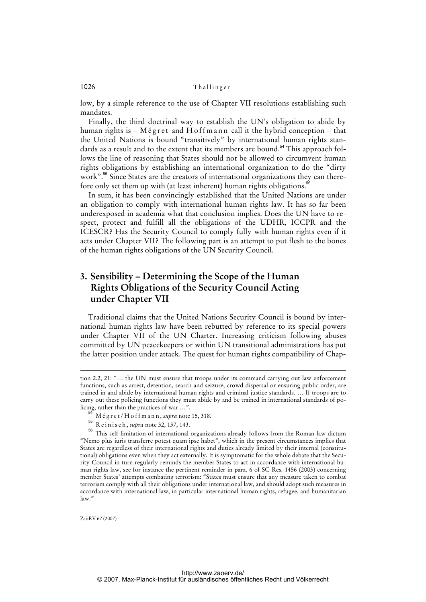low, by a simple reference to the use of Chapter VII resolutions establishing such mandates.

Finally, the third doctrinal way to establish the UN's obligation to abide by human rights is  $-$  M é g r et and H o f f m a n n call it the hybrid conception  $-$  that the United Nations is bound "transitively" by international human rights standards as a result and to the extent that its members are bound.<sup>54</sup> This approach follows the line of reasoning that States should not be allowed to circumvent human rights obligations by establishing an international organization to do the "dirty work".<sup>55</sup> Since States are the creators of international organizations they can therefore only set them up with (at least inherent) human rights obligations.<sup>56</sup>

In sum, it has been convincingly established that the United Nations are under an obligation to comply with international human rights law. It has so far been underexposed in academia what that conclusion implies. Does the UN have to respect, protect and fulfill all the obligations of the UDHR, ICCPR and the ICESCR? Has the Security Council to comply fully with human rights even if it acts under Chapter VII? The following part is an attempt to put flesh to the bones of the human rights obligations of the UN Security Council.

# **3. Sensibility – Determining the Scope of the Human Rights Obligations of the Security Council Acting under Chapter VII**

Traditional claims that the United Nations Security Council is bound by international human rights law have been rebutted by reference to its special powers under Chapter VII of the UN Charter. Increasing criticism following abuses committed by UN peacekeepers or within UN transitional administrations has put the latter position under attack. The quest for human rights compatibility of Chap-

<sup>55</sup> R e i n i s c h , *supra* note 32, 137, 143.

ZaöRV 67 (2007)

j

tion 2.2, 21: "… the UN must ensure that troops under its command carrying out law enforcement functions, such as arrest, detention, search and seizure, crowd dispersal or ensuring public order, are trained in and abide by international human rights and criminal justice standards. … If troops are to carry out these policing functions they must abide by and be trained in international standards of policing, rather than the practices of war …".

<sup>54</sup> M é g r e t / H o f f m a n n , *supra* note 15, 318.

<sup>56</sup> This self-limitation of international organizations already follows from the Roman law dictum "Nemo plus iuris transferre potest quam ipse habet", which in the present circumstances implies that States are regardless of their international rights and duties already limited by their internal (constitutional) obligations even when they act externally. It is symptomatic for the whole debate that the Security Council in turn regularly reminds the member States to act in accordance with international human rights law, see for instance the pertinent reminder in para. 6 of SC Res. 1456 (2003) concerning member States' attempts combating terrorism: "States must ensure that any measure taken to combat terrorism comply with all their obligations under international law, and should adopt such measures in accordance with international law, in particular international human rights, refugee, and humanitarian  $law$ .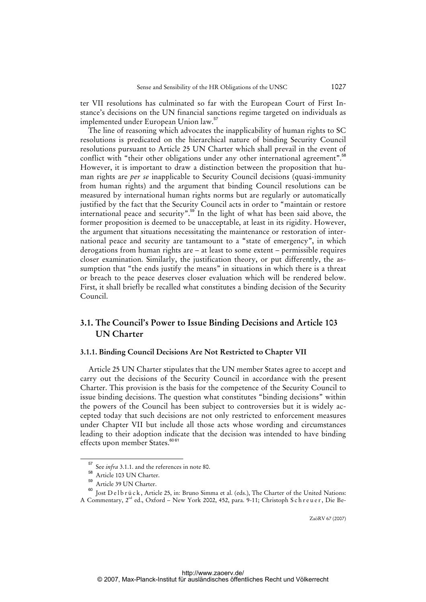ter VII resolutions has culminated so far with the European Court of First Instance's decisions on the UN financial sanctions regime targeted on individuals as implemented under European Union law.<sup>57</sup>

The line of reasoning which advocates the inapplicability of human rights to SC resolutions is predicated on the hierarchical nature of binding Security Council resolutions pursuant to Article 25 UN Charter which shall prevail in the event of conflict with "their other obligations under any other international agreement".<sup>58</sup> However, it is important to draw a distinction between the proposition that human rights are *per se* inapplicable to Security Council decisions (quasi-immunity from human rights) and the argument that binding Council resolutions can be measured by international human rights norms but are regularly or automatically justified by the fact that the Security Council acts in order to "maintain or restore international peace and security".<sup>59</sup> In the light of what has been said above, the former proposition is deemed to be unacceptable, at least in its rigidity. However, the argument that situations necessitating the maintenance or restoration of international peace and security are tantamount to a "state of emergency", in which derogations from human rights are – at least to some extent – permissible requires closer examination. Similarly, the justification theory, or put differently, the assumption that "the ends justify the means" in situations in which there is a threat or breach to the peace deserves closer evaluation which will be rendered below. First, it shall briefly be recalled what constitutes a binding decision of the Security Council.

### **3.1. The Council's Power to Issue Binding Decisions and Article 103 UN Charter**

#### **3.1.1. Binding Council Decisions Are Not Restricted to Chapter VII**

Article 25 UN Charter stipulates that the UN member States agree to accept and carry out the decisions of the Security Council in accordance with the present Charter. This provision is the basis for the competence of the Security Council to issue binding decisions. The question what constitutes "binding decisions" within the powers of the Council has been subject to controversies but it is widely accepted today that such decisions are not only restricted to enforcement measures under Chapter VII but include all those acts whose wording and circumstances leading to their adoption indicate that the decision was intended to have binding effects upon member States.<sup>6061</sup>

See *infra* 3.1.1. and the references in note 80.

Article 103 UN Charter.

<sup>59</sup> Article 39 UN Charter.

<sup>&</sup>lt;sup>60</sup> Jost D e l b r ü c k , Article 25, in: Bruno Simma et al. (eds.), The Charter of the United Nations: A Commentary, 2<sup>nd</sup> ed., Oxford – New York 2002, 452, para. 9-11; Christoph Schreuer, Die Be-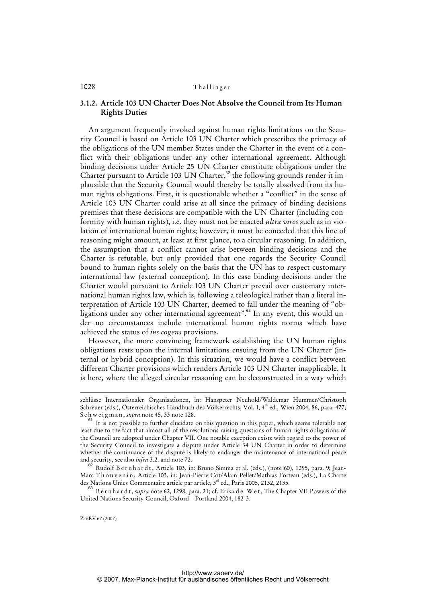### **3.1.2. Article 103 UN Charter Does Not Absolve the Council from Its Human Rights Duties**

An argument frequently invoked against human rights limitations on the Security Council is based on Article 103 UN Charter which prescribes the primacy of the obligations of the UN member States under the Charter in the event of a conflict with their obligations under any other international agreement. Although binding decisions under Article 25 UN Charter constitute obligations under the Charter pursuant to Article 103 UN Charter, $62$  the following grounds render it implausible that the Security Council would thereby be totally absolved from its human rights obligations. First, it is questionable whether a "conflict" in the sense of Article 103 UN Charter could arise at all since the primacy of binding decisions premises that these decisions are compatible with the UN Charter (including conformity with human rights), i.e. they must not be enacted *ultra vires* such as in violation of international human rights; however, it must be conceded that this line of reasoning might amount, at least at first glance, to a circular reasoning. In addition, the assumption that a conflict cannot arise between binding decisions and the Charter is refutable, but only provided that one regards the Security Council bound to human rights solely on the basis that the UN has to respect customary international law (external conception). In this case binding decisions under the Charter would pursuant to Article 103 UN Charter prevail over customary international human rights law, which is, following a teleological rather than a literal interpretation of Article 103 UN Charter, deemed to fall under the meaning of "obligations under any other international agreement".<sup>63</sup> In any event, this would under no circumstances include international human rights norms which have achieved the status of *ius cogens* provisions.

However, the more convincing framework establishing the UN human rights obligations rests upon the internal limitations ensuing from the UN Charter (internal or hybrid conception). In this situation, we would have a conflict between different Charter provisions which renders Article 103 UN Charter inapplicable. It is here, where the alleged circular reasoning can be deconstructed in a way which

<sup>63</sup> B e r n h a r d t , *supra* note 62, 1298, para. 21; cf. Erika d e W e t , The Chapter VII Powers of the United Nations Security Council, Oxford – Portland 2004, 182-3.

ZaöRV 67 (2007)

1

schlüsse Internationaler Organisationen, in: Hanspeter Neuhold/Waldemar Hummer/Christoph Schreuer (eds.), Österreichisches Handbuch des Völkerrechts, Vol. I, 4<sup>th</sup> ed., Wien 2004, 86, para. 477; S c h w e i g m a n, *supra* note 45, 33 note 128.

<sup>&</sup>lt;sup>61</sup> It is not possible to further elucidate on this question in this paper, which seems tolerable not least due to the fact that almost all of the resolutions raising questions of human rights obligations of the Council are adopted under Chapter VII. One notable exception exists with regard to the power of the Security Council to investigate a dispute under Article 34 UN Charter in order to determine whether the continuance of the dispute is likely to endanger the maintenance of international peace and security, see also *infra* 3.2. and note 72.

<sup>&</sup>lt;sup>62</sup> Rudolf B e r n h a r d t, Article 103, in: Bruno Simma et al. (eds.), (note 60), 1295, para. 9; Jean-Marc Thouvenin, Article 103, in: Jean-Pierre Cot/Alain Pellet/Mathias Forteau (eds.), La Charte des Nations Unies Commentaire article par article, 3<sup>rd</sup> ed., Paris 2005, 2132, 2135.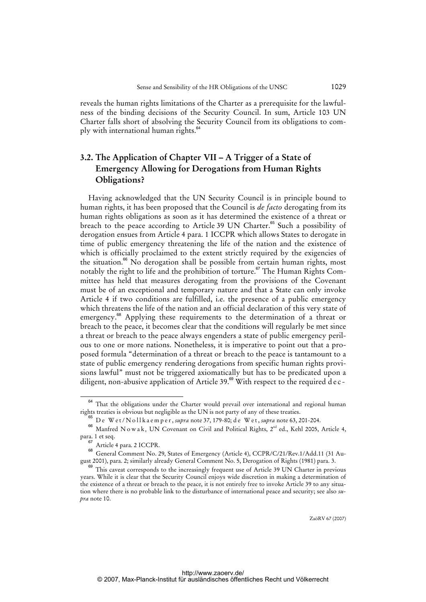reveals the human rights limitations of the Charter as a prerequisite for the lawfulness of the binding decisions of the Security Council. In sum, Article 103 UN Charter falls short of absolving the Security Council from its obligations to comply with international human rights.<sup>64</sup>

# **3.2. The Application of Chapter VII – A Trigger of a State of Emergency Allowing for Derogations from Human Rights Obligations?**

Having acknowledged that the UN Security Council is in principle bound to human rights, it has been proposed that the Council is *de facto* derogating from its human rights obligations as soon as it has determined the existence of a threat or breach to the peace according to Article 39 UN Charter.<sup>65</sup> Such a possibility of derogation ensues from Article 4 para. 1 ICCPR which allows States to derogate in time of public emergency threatening the life of the nation and the existence of which is officially proclaimed to the extent strictly required by the exigencies of the situation.<sup>66</sup> No derogation shall be possible from certain human rights, most notably the right to life and the prohibition of torture.<sup>67</sup> The Human Rights Committee has held that measures derogating from the provisions of the Covenant must be of an exceptional and temporary nature and that a State can only invoke Article 4 if two conditions are fulfilled, i.e. the presence of a public emergency which threatens the life of the nation and an official declaration of this very state of emergency.<sup>68</sup> Applying these requirements to the determination of a threat or breach to the peace, it becomes clear that the conditions will regularly be met since a threat or breach to the peace always engenders a state of public emergency perilous to one or more nations. Nonetheless, it is imperative to point out that a proposed formula "determination of a threat or breach to the peace is tantamount to a state of public emergency rendering derogations from specific human rights provisions lawful" must not be triggered axiomatically but has to be predicated upon a diligent, non-abusive application of Article 39.<sup>69</sup> With respect to the required d e c -

<sup>&</sup>lt;sup>64</sup> That the obligations under the Charter would prevail over international and regional human rights treaties is obvious but negligible as the UN is not party of any of these treaties.

<sup>65</sup> D e W e t / N o l l k a e m p e r , *supra* note 37, 179-80; d e W e t , *supra* note 63, 201-204.

<sup>&</sup>lt;sup>66</sup> Manfred N o w a k, UN Covenant on Civil and Political Rights, 2<sup>nd</sup> ed., Kehl 2005, Article 4, para. 1 et seq.

<sup>67</sup> Article 4 para. 2 ICCPR.

<sup>68</sup> General Comment No. 29, States of Emergency (Article 4), CCPR/C/21/Rev.1/Add.11 (31 August 2001), para. 2; similarly already General Comment No. 5, Derogation of Rights (1981) para. 3.

<sup>&</sup>lt;sup>69</sup> This caveat corresponds to the increasingly frequent use of Article 39 UN Charter in previous years. While it is clear that the Security Council enjoys wide discretion in making a determination of the existence of a threat or breach to the peace, it is not entirely free to invoke Article 39 to any situation where there is no probable link to the disturbance of international peace and security; see also *supra* note 10.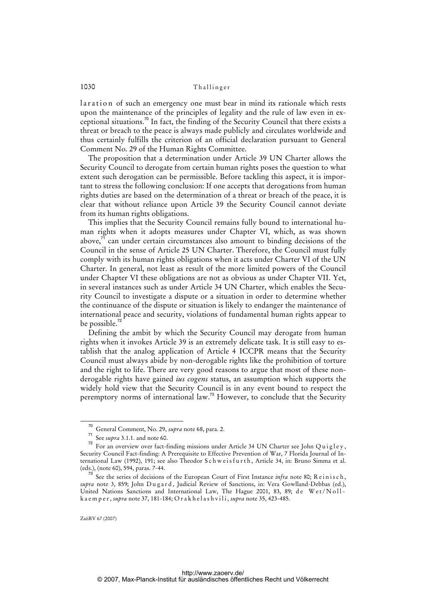laration of such an emergency one must bear in mind its rationale which rests upon the maintenance of the principles of legality and the rule of law even in exceptional situations.<sup>70</sup> In fact, the finding of the Security Council that there exists a threat or breach to the peace is always made publicly and circulates worldwide and thus certainly fulfills the criterion of an official declaration pursuant to General Comment No. 29 of the Human Rights Committee.

The proposition that a determination under Article 39 UN Charter allows the Security Council to derogate from certain human rights poses the question to what extent such derogation can be permissible. Before tackling this aspect, it is important to stress the following conclusion: If one accepts that derogations from human rights duties are based on the determination of a threat or breach of the peace, it is clear that without reliance upon Article 39 the Security Council cannot deviate from its human rights obligations.

This implies that the Security Council remains fully bound to international human rights when it adopts measures under Chapter VI, which, as was shown above, $7<sup>1</sup>$  can under certain circumstances also amount to binding decisions of the Council in the sense of Article 25 UN Charter. Therefore, the Council must fully comply with its human rights obligations when it acts under Charter VI of the UN Charter. In general, not least as result of the more limited powers of the Council under Chapter VI these obligations are not as obvious as under Chapter VII. Yet, in several instances such as under Article 34 UN Charter, which enables the Security Council to investigate a dispute or a situation in order to determine whether the continuance of the dispute or situation is likely to endanger the maintenance of international peace and security, violations of fundamental human rights appear to be possible.<sup>72</sup>

Defining the ambit by which the Security Council may derogate from human rights when it invokes Article 39 is an extremely delicate task. It is still easy to establish that the analog application of Article 4 ICCPR means that the Security Council must always abide by non-derogable rights like the prohibition of torture and the right to life. There are very good reasons to argue that most of these nonderogable rights have gained *ius cogens* status, an assumption which supports the widely hold view that the Security Council is in any event bound to respect the peremptory norms of international law.<sup>73</sup> However, to conclude that the Security

<sup>70</sup> General Comment, No. 29, *supra* note 68, para. 2.

<sup>71</sup> See *supra* 3.1.1. and note 60.

 $72$  For an overview over fact-finding missions under Article 34 UN Charter see John Q u i g l e y , Security Council Fact-finding: A Prerequisite to Effective Prevention of War, 7 Florida Journal of International Law (1992), 191; see also Theodor Schweisfurth, Article 34, in: Bruno Simma et al. (eds.), (note 60), 594, paras. 7-44.

<sup>&</sup>lt;sup>73</sup> See the series of decisions of the European Court of First Instance *infra* note 80; R e i n i s c h, supra note 3, 859; John Dugard, Judicial Review of Sanctions, in: Vera Gowlland-Debbas (ed.), United Nations Sanctions and International Law, The Hague 2001, 83, 89; de Wet/Nollk a e m p e r , *supra* note 37, 181-184; O r a k h e l a s h v i l i , *supra* note 35, 423-485.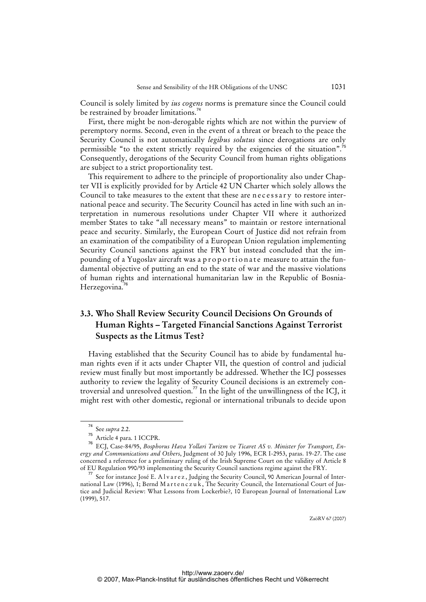Council is solely limited by *ius cogens* norms is premature since the Council could be restrained by broader limitations.<sup>74</sup>

First, there might be non-derogable rights which are not within the purview of peremptory norms. Second, even in the event of a threat or breach to the peace the Security Council is not automatically *legibus solutus* since derogations are only permissible "to the extent strictly required by the exigencies of the situation".<sup>75</sup> Consequently, derogations of the Security Council from human rights obligations are subject to a strict proportionality test.

This requirement to adhere to the principle of proportionality also under Chapter VII is explicitly provided for by Article 42 UN Charter which solely allows the Council to take measures to the extent that these are necessary to restore international peace and security. The Security Council has acted in line with such an interpretation in numerous resolutions under Chapter VII where it authorized member States to take "all necessary means" to maintain or restore international peace and security. Similarly, the European Court of Justice did not refrain from an examination of the compatibility of a European Union regulation implementing Security Council sanctions against the FRY but instead concluded that the impounding of a Yugoslav aircraft was a proportionate measure to attain the fundamental objective of putting an end to the state of war and the massive violations of human rights and international humanitarian law in the Republic of Bosnia-Herzegovina.<sup>76</sup>

# **3.3. Who Shall Review Security Council Decisions On Grounds of Human Rights – Targeted Financial Sanctions Against Terrorist Suspects as the Litmus Test?**

Having established that the Security Council has to abide by fundamental human rights even if it acts under Chapter VII, the question of control and judicial review must finally but most importantly be addressed. Whether the ICJ possesses authority to review the legality of Security Council decisions is an extremely controversial and unresolved question.<sup>77</sup> In the light of the unwillingness of the ICJ, it might rest with other domestic, regional or international tribunals to decide upon

<sup>74</sup> See *supra* 2.2.

<sup>75</sup> Article 4 para. 1 ICCPR.

ECJ, Case-84/95, *Bosphorus Hava Yollari Turizm ve Ticaret AS v. Minister for Transport, Energy and Communications and Others*, Judgment of 30 July 1996, ECR I-2953, paras. 19-27. The case concerned a reference for a preliminary ruling of the Irish Supreme Court on the validity of Article 8 of EU Regulation 990/93 implementing the Security Council sanctions regime against the FRY.

<sup>77</sup> See for instance José E. A l v a r e z , Judging the Security Council, 90 American Journal of International Law (1996), 1; Bernd M a r t e n c z u k, The Security Council, the International Court of Justice and Judicial Review: What Lessons from Lockerbie?, 10 European Journal of International Law (1999), 517.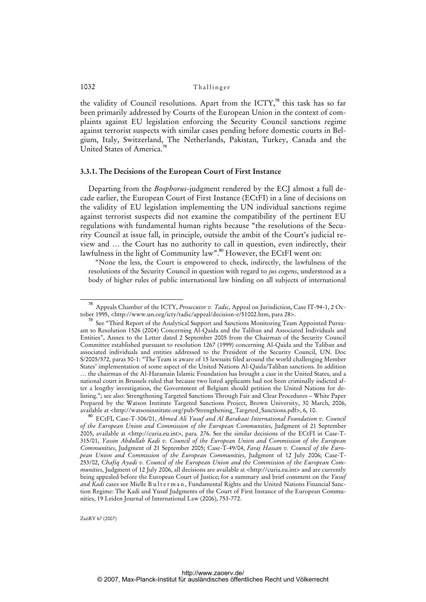the validity of Council resolutions. Apart from the  $\text{ICTY}^{\pi_8}$  this task has so far been primarily addressed by Courts of the European Union in the context of complaints against EU legislation enforcing the Security Council sanctions regime against terrorist suspects with similar cases pending before domestic courts in Belgium, Italy, Switzerland, The Netherlands, Pakistan, Turkey, Canada and the United States of America.<sup>7</sup>

#### **3.3.1. The Decisions of the European Court of First Instance**

Departing from the *Bosphorus*-judgment rendered by the ECJ almost a full decade earlier, the European Court of First Instance (ECtFI) in a line of decisions on the validity of EU legislation implementing the UN individual sanctions regime against terrorist suspects did not examine the compatibility of the pertinent EU regulations with fundamental human rights because "the resolutions of the Security Council at issue fall, in principle, outside the ambit of the Court's judicial review and … the Court has no authority to call in question, even indirectly, their lawfulness in the light of Community law".<sup>80</sup> However, the ECtFI went on:

"None the less, the Court is empowered to check, indirectly, the lawfulness of the resolutions of the Security Council in question with regard to *jus cogens*, understood as a body of higher rules of public international law binding on all subjects of international

<sup>78</sup> Appeals Chamber of the ICTY, *Prosecutor v. Tadic*, Appeal on Jurisdiction, Case IT-94-1, 2 October 1995, <[http://www.un.org/icty/tadic/appeal/decision-e/51002.htm,](http://www.un.org/icty/tadic/appeal/decision-e/51002.htm) para 28>.

<sup>79</sup> See "Third Report of the Analytical Support and Sanctions Monitoring Team Appointed Pursuant to Resolution 1526 (2004) Concerning Al-Qaida and the Taliban and Associated Individuals and Entities", Annex to the Letter dated 2 September 2005 from the Chairman of the Security Council Committee established pursuant to resolution 1267 (1999) concerning Al-Qaida and the Taliban and associated individuals and entities addressed to the President of the Security Council, UN. Doc S/2005/572, paras 50-1: "The Team is aware of 15 lawsuits filed around the world challenging Member States' implementation of some aspect of the United Nations Al-Qaida/Taliban sanctions. In addition … the chairman of the Al-Haramain Islamic Foundation has brought a case in the United States, and a national court in Brussels ruled that because two listed applicants had not been criminally indicted after a lengthy investigation, the Government of Belgium should petition the United Nations for delisting."; see also: Strengthening Targeted Sanctions Through Fair and Clear Procedures – White Paper Prepared by the Watson Institute Targeted Sanctions Project, Brown University, 30 March, 2006, available at [<http://watsoninstitute.org/pub/Strengthening\\_Targeted\\_Sanctions.pdf](http://watsoninstitute.org/pub/Strengthening_Targeted_Sanctions.pdf)>, 6, 10.

<sup>80</sup> ECtFI, Case-T-306/01, *Ahmed Ali Yusuf and Al Barakaat International Foundation v. Council of the European Union and Commission of the European Communities*, Judgment of 21 September 2005, available at <<http://curia.eu.int>>, para. 276. See the similar decisions of the ECtFI in Case-T-315/01, *Yassin Abdullah Kadi v. Council of the European Union and Commission of the European Communities*, Judgment of 21 September 2005; Case-T-49/04, *Faraj Hassan v. Council of the European Union and Commission of the European Communities*, Judgment of 12 July 2006; Case-T-253/02, *Chafiq Ayadi v. Council of the European Union and the Commission of the European Communities*, Judgment of 12 July 2006, all decisions are available at <[http://curia.eu.int>](http://curia.eu.int) and are currently being appealed before the European Court of Justice; for a summary and brief comment on the *Yusuf*  and Kadi cases see Mielle B u l t e r m a n, Fundamental Rights and the United Nations Financial Sanction Regime: The Kadi and Yusuf Judgments of the Court of First Instance of the European Communities, 19 Leiden Journal of International Law (2006), 753-772.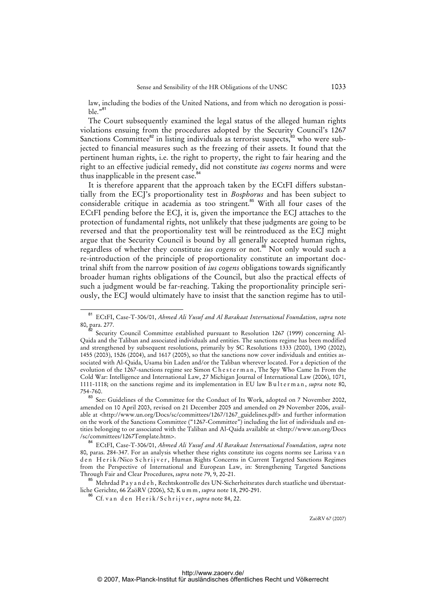law, including the bodies of the United Nations, and from which no derogation is possible."<sup>81</sup>

The Court subsequently examined the legal status of the alleged human rights violations ensuing from the procedures adopted by the Security Council's 1267 Sanctions Committee $^{82}$  in listing individuals as terrorist suspects, $^{83}$  who were subjected to financial measures such as the freezing of their assets. It found that the pertinent human rights, i.e. the right to property, the right to fair hearing and the right to an effective judicial remedy, did not constitute *ius cogens* norms and were thus inapplicable in the present case.<sup>8</sup>

It is therefore apparent that the approach taken by the ECtFI differs substantially from the ECJ's proportionality test in *Bosphorus* and has been subject to considerable critique in academia as too stringent.<sup>85</sup> With all four cases of the ECtFI pending before the ECJ, it is, given the importance the ECJ attaches to the protection of fundamental rights, not unlikely that these judgments are going to be reversed and that the proportionality test will be reintroduced as the ECJ might argue that the Security Council is bound by all generally accepted human rights, regardless of whether they constitute *ius cogens* or not.<sup>86</sup> Not only would such a re-introduction of the principle of proportionality constitute an important doctrinal shift from the narrow position of *ius cogens* obligations towards significantly broader human rights obligations of the Council, but also the practical effects of such a judgment would be far-reaching. Taking the proportionality principle seriously, the ECJ would ultimately have to insist that the sanction regime has to util-

<sup>85</sup> Mehrdad P a y a n d e h , Rechtskontrolle des UN-Sicherheitsrates durch staatliche und überstaatliche Gerichte, 66 ZaöRV (2006), 52; K u m m , *supra* note 18, 290-291.

<sup>81</sup> ECtFI, Case-T-306/01, *Ahmed Ali Yusuf and Al Barakaat International Foundation*, *supra* note 80, para. 277.

Security Council Committee established pursuant to Resolution 1267 (1999) concerning Al-Qaida and the Taliban and associated individuals and entities. The sanctions regime has been modified and strengthened by subsequent resolutions, primarily by SC Resolutions 1333 (2000), 1390 (2002), 1455 (2003), 1526 (2004), and 1617 (2005), so that the sanctions now cover individuals and entities associated with Al-Qaida, Usama bin Laden and/or the Taliban wherever located. For a depiction of the evolution of the 1267-sanctions regime see Simon Chesterman, The Spy Who Came In From the Cold War: Intelligence and International Law, 27 Michigan Journal of International Law (2006), 1071, 1111-1118; on the sanctions regime and its implementation in EU law Bulterman, *supra* note 80, 754-760.

See: Guidelines of the Committee for the Conduct of Its Work, adopted on 7 November 2002, amended on 10 April 2003, revised on 21 December 2005 and amended on 29 November 2006, available at [<http://www.un.org/Docs/sc/committees/1267/1267\\_guidelines.pdf>](http://www.un.org/Docs/sc/committees/1267/1267_guidelines.pdf) and further information on the work of the Sanctions Committee ("1267-Committee") including the list of individuals and entities belonging to or associated with the Taliban and Al-Qaida available at [<http://www.un.org/Docs](http://www.un.org/Docs) /sc/committees/1267Template.htm>.

<sup>84</sup> ECtFI, Case-T-306/01, *Ahmed Ali Yusuf and Al Barakaat International Foundation*, *supra* note 80, paras. 284-347. For an analysis whether these rights constitute ius cogens norms see Larissa v a n den Herik/Nico Schrijver, Human Rights Concerns in Current Targeted Sanctions Regimes from the Perspective of International and European Law, in: Strengthening Targeted Sanctions Through Fair and Clear Procedures, *supra* note 79, 9, 20-21.

<sup>&</sup>lt;sup>6</sup> Cf. van den Herik/Schrijver, *supra* note 84, 22.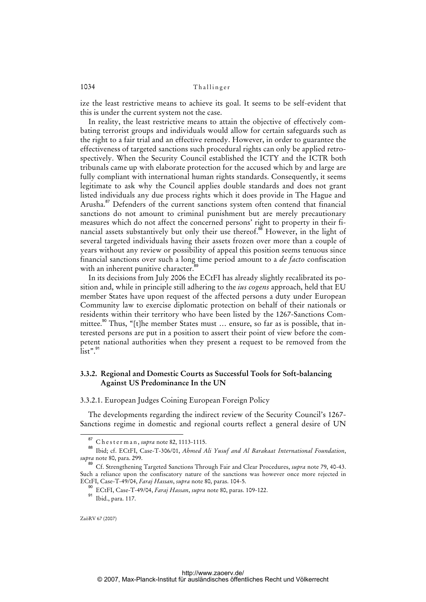ize the least restrictive means to achieve its goal. It seems to be self-evident that this is under the current system not the case.

In reality, the least restrictive means to attain the objective of effectively combating terrorist groups and individuals would allow for certain safeguards such as the right to a fair trial and an effective remedy. However, in order to guarantee the effectiveness of targeted sanctions such procedural rights can only be applied retrospectively. When the Security Council established the ICTY and the ICTR both tribunals came up with elaborate protection for the accused which by and large are fully compliant with international human rights standards. Consequently, it seems legitimate to ask why the Council applies double standards and does not grant listed individuals any due process rights which it does provide in The Hague and Arusha.<sup>87</sup> Defenders of the current sanctions system often contend that financial sanctions do not amount to criminal punishment but are merely precautionary measures which do not affect the concerned persons' right to property in their financial assets substantively but only their use thereof.<sup>88</sup> However, in the light of several targeted individuals having their assets frozen over more than a couple of years without any review or possibility of appeal this position seems tenuous since financial sanctions over such a long time period amount to a *de facto* confiscation with an inherent punitive character.<sup>8</sup>

In its decisions from July 2006 the ECtFI has already slightly recalibrated its position and, while in principle still adhering to the *ius cogens* approach, held that EU member States have upon request of the affected persons a duty under European Community law to exercise diplomatic protection on behalf of their nationals or residents within their territory who have been listed by the 1267-Sanctions Committee.<sup>90</sup> Thus, "[t]he member States must ... ensure, so far as is possible, that interested persons are put in a position to assert their point of view before the competent national authorities when they present a request to be removed from the  $\int$ list".  $91$ 

### **3.3.2. Regional and Domestic Courts as Successful Tools for Soft-balancing Against US Predominance In the UN**

#### 3.3.2.1. European Judges Coining European Foreign Policy

The developments regarding the indirect review of the Security Council's 1267- Sanctions regime in domestic and regional courts reflect a general desire of UN

<sup>87</sup> C h e s t e r m a n , *supra* note 82, 1113-1115.

<sup>88</sup> Ibid; cf. ECtFI, Case-T-306/01, *Ahmed Ali Yusuf and Al Barakaat International Foundation*, *supra* note 80, para. 299.

<sup>89</sup> Cf. Strengthening Targeted Sanctions Through Fair and Clear Procedures, *supra* note 79, 40-43. Such a reliance upon the confiscatory nature of the sanctions was however once more rejected in ECtFI, Case-T-49/04, *Faraj Hassan*, *supra* note 80, paras. 104-5.

<sup>90</sup> ECtFI, Case-T-49/04, *Faraj Hassan*, *supra* note 80, paras. 109-122.

<sup>&</sup>lt;sup>91</sup> Ibid., para. 117.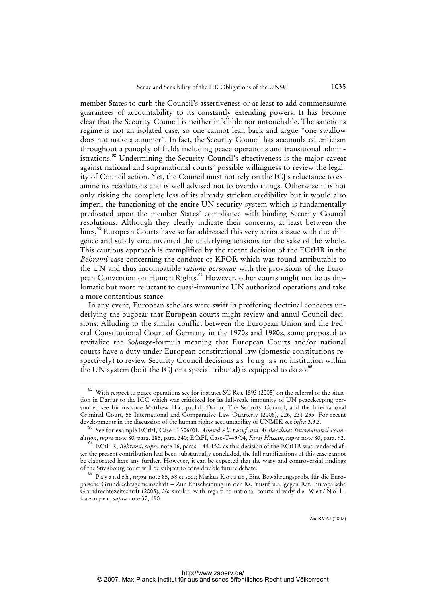member States to curb the Council's assertiveness or at least to add commensurate guarantees of accountability to its constantly extending powers. It has become clear that the Security Council is neither infallible nor untouchable. The sanctions regime is not an isolated case, so one cannot lean back and argue "one swallow does not make a summer". In fact, the Security Council has accumulated criticism throughout a panoply of fields including peace operations and transitional administrations.<sup>92</sup> Undermining the Security Council's effectiveness is the major caveat against national and supranational courts' possible willingness to review the legality of Council action. Yet, the Council must not rely on the ICJ's reluctance to examine its resolutions and is well advised not to overdo things. Otherwise it is not only risking the complete loss of its already stricken credibility but it would also imperil the functioning of the entire UN security system which is fundamentally predicated upon the member States' compliance with binding Security Council resolutions. Although they clearly indicate their concerns, at least between the lines,<sup>93</sup> European Courts have so far addressed this very serious issue with due diligence and subtly circumvented the underlying tensions for the sake of the whole. This cautious approach is exemplified by the recent decision of the ECtHR in the *Behrami* case concerning the conduct of KFOR which was found attributable to the UN and thus incompatible *ratione personae* with the provisions of the European Convention on Human Rights.<sup>94</sup> However, other courts might not be as diplomatic but more reluctant to quasi-immunize UN authorized operations and take a more contentious stance.

In any event, European scholars were swift in proffering doctrinal concepts underlying the bugbear that European courts might review and annul Council decisions: Alluding to the similar conflict between the European Union and the Federal Constitutional Court of Germany in the 1970s and 1980s, some proposed to revitalize the *Solange*-formula meaning that European Courts and/or national courts have a duty under European constitutional law (domestic constitutions respectively) to review Security Council decisions as long as no institution within the UN system (be it the ICJ or a special tribunal) is equipped to do so.<sup>95</sup>

<sup>&</sup>lt;sup>92</sup> With respect to peace operations see for instance SC Res. 1593 (2005) on the referral of the situation in Darfur to the ICC which was criticized for its full-scale immunity of UN peacekeeping personnel; see for instance Matthew Happold, Darfur, The Security Council, and the International Criminal Court, 55 International and Comparative Law Quarterly (2006), 226, 231-235. For recent developments in the discussion of the human rights accountability of UNMIK see *infra* 3.3.3.

<sup>93</sup> See for example ECtFI, Case-T-306/01, *Ahmed Ali Yusuf and Al Barakaat International Foundation*, *supra* note 80, para. 285, para. 340; ECtFI, Case-T-49/04, *Faraj Hassan*, *supra* note 80, para. 92.

<sup>94</sup> ECtHR, *Behrami*, *supra* note 16, paras. 144-152; as this decision of the ECtHR was rendered after the present contribution had been substantially concluded, the full ramifications of this case cannot be elaborated here any further. However, it can be expected that the wary and controversial findings of the Strasbourg court will be subject to considerable future debate.

<sup>95</sup> P a y a n d e h , *supra* note 85, 58 et seq.; Markus K o t z u r , Eine Bewährungsprobe für die Europäische Grundrechtsgemeinschaft – Zur Entscheidung in der Rs. Yusuf u.a. gegen Rat, Europäische Grundrechtezeitschrift (2005), 26; similar, with regard to national courts already de Wet/Nollk a e m p e r , *supra* note 37, 190.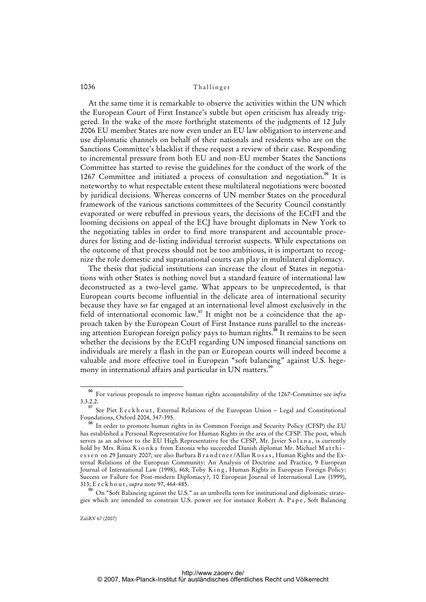At the same time it is remarkable to observe the activities within the UN which the European Court of First Instance's subtle but open criticism has already triggered. In the wake of the more forthright statements of the judgments of 12 July 2006 EU member States are now even under an EU law obligation to intervene and use diplomatic channels on behalf of their nationals and residents who are on the Sanctions Committee's blacklist if these request a review of their case. Responding to incremental pressure from both EU and non-EU member States the Sanctions Committee has started to revise the guidelines for the conduct of the work of the 1267 Committee and initiated a process of consultation and negotiation.<sup>96</sup> It is noteworthy to what respectable extent these multilateral negotiations were boosted by juridical decisions. Whereas concerns of UN member States on the procedural framework of the various sanctions committees of the Security Council constantly evaporated or were rebuffed in previous years, the decisions of the ECtFI and the looming decisions on appeal of the ECJ have brought diplomats in New York to the negotiating tables in order to find more transparent and accountable procedures for listing and de-listing individual terrorist suspects. While expectations on the outcome of that process should not be too ambitious, it is important to recognize the role domestic and supranational courts can play in multilateral diplomacy.

The thesis that judicial institutions can increase the clout of States in negotiations with other States is nothing novel but a standard feature of international law deconstructed as a two-level game. What appears to be unprecedented, is that European courts become influential in the delicate area of international security because they have so far engaged at an international level almost exclusively in the field of international economic law.<sup>97</sup> It might not be a coincidence that the approach taken by the European Court of First Instance runs parallel to the increasing attention European foreign policy pays to human rights.<sup>98</sup> It remains to be seen whether the decisions by the ECtFI regarding UN imposed financial sanctions on individuals are merely a flash in the pan or European courts will indeed become a valuable and more effective tool in European "soft balancing" against U.S. hegemony in international affairs and particular in UN matters.<sup>99</sup>

<sup>96</sup> For various proposals to improve human rights accountability of the 1267-Committee see *infra* 3.3.2.2.

<sup>97</sup> See Piet E e c k h o u t, External Relations of the European Union - Legal and Constitutional Foundations, Oxford 2004, 347-395.

In order to promote human rights in its Common Foreign and Security Policy (CFSP) the EU has established a Personal Representative for Human Rights in the area of the CFSP. The post, which serves as an advisor to the EU High Representative for the CFSP, Mr. Javier Solana, is currently hold by Mrs. Riina K i o n k a from Estonia who succeeded Danish diplomat Mr. Michael M a t thie s s e n on 29 January 2007; see also Barbara B r a n d t n e r /Allan R o s a s , Human Rights and the External Relations of the European Community: An Analysis of Doctrine and Practice, 9 European Journal of International Law (1998), 468; Toby King, Human Rights in European Foreign Policy: Success or Failure for Post-modern Diplomacy?, 10 European Journal of International Law (1999), 313; E e c k h o u t , *supra* note 97, 464-485.

 $99$  On "Soft Balancing against the U.S." as an umbrella term for institutional and diplomatic strategies which are intended to constrain U.S. power see for instance Robert A. P a p e , Soft Balancing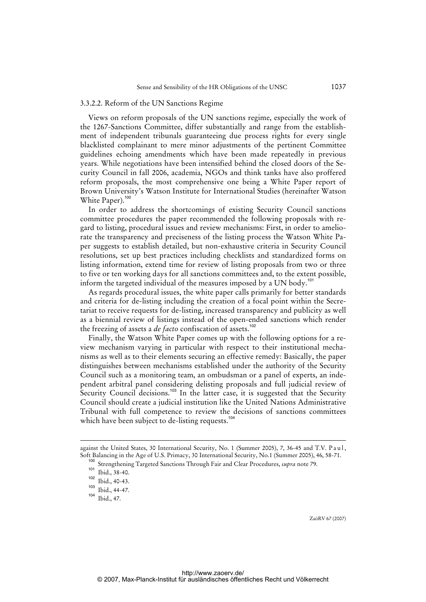### 3.3.2.2. Reform of the UN Sanctions Regime

Views on reform proposals of the UN sanctions regime, especially the work of the 1267-Sanctions Committee, differ substantially and range from the establishment of independent tribunals guaranteeing due process rights for every single blacklisted complainant to mere minor adjustments of the pertinent Committee guidelines echoing amendments which have been made repeatedly in previous years. While negotiations have been intensified behind the closed doors of the Security Council in fall 2006, academia, NGOs and think tanks have also proffered reform proposals, the most comprehensive one being a White Paper report of Brown University's Watson Institute for International Studies (hereinafter Watson White Paper).<sup>100</sup>

In order to address the shortcomings of existing Security Council sanctions committee procedures the paper recommended the following proposals with regard to listing, procedural issues and review mechanisms: First, in order to ameliorate the transparency and preciseness of the listing process the Watson White Paper suggests to establish detailed, but non-exhaustive criteria in Security Council resolutions, set up best practices including checklists and standardized forms on listing information, extend time for review of listing proposals from two or three to five or ten working days for all sanctions committees and, to the extent possible, inform the targeted individual of the measures imposed by a UN body.<sup>101</sup>

As regards procedural issues, the white paper calls primarily for better standards and criteria for de-listing including the creation of a focal point within the Secretariat to receive requests for de-listing, increased transparency and publicity as well as a biennial review of listings instead of the open-ended sanctions which render the freezing of assets a *de facto* confiscation of assets.<sup>102</sup>

Finally, the Watson White Paper comes up with the following options for a review mechanism varying in particular with respect to their institutional mechanisms as well as to their elements securing an effective remedy: Basically, the paper distinguishes between mechanisms established under the authority of the Security Council such as a monitoring team, an ombudsman or a panel of experts, an independent arbitral panel considering delisting proposals and full judicial review of Security Council decisions.<sup>103</sup> In the latter case, it is suggested that the Security Council should create a judicial institution like the United Nations Administrative Tribunal with full competence to review the decisions of sanctions committees which have been subject to de-listing requests.<sup>104</sup>

j

against the United States, 30 International Security, No. 1 (Summer 2005), 7, 36-45 and T.V. Paul, Soft Balancing in the Age of U.S. Primacy, 30 International Security, No.1 (Summer 2005), 46, 58-71.

<sup>100</sup> Strengthening Targeted Sanctions Through Fair and Clear Procedures, *supra* note 79.

 $101$  Ibid., 38-40.

 $102$  Ibid., 40-43.

 $\frac{103}{104}$  Ibid., 44-47.

Ibid., 47.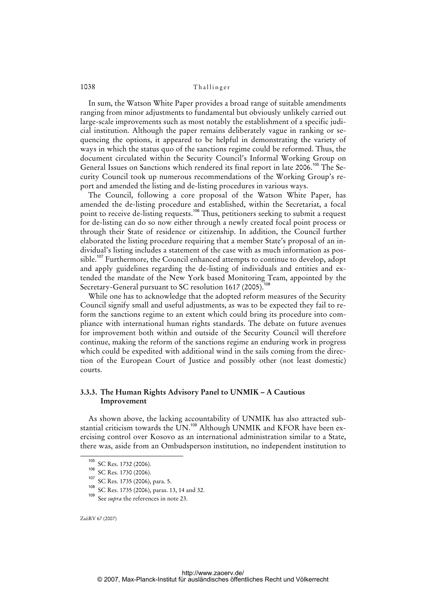In sum, the Watson White Paper provides a broad range of suitable amendments ranging from minor adjustments to fundamental but obviously unlikely carried out large-scale improvements such as most notably the establishment of a specific judicial institution. Although the paper remains deliberately vague in ranking or sequencing the options, it appeared to be helpful in demonstrating the variety of ways in which the status quo of the sanctions regime could be reformed. Thus, the document circulated within the Security Council's Informal Working Group on General Issues on Sanctions which rendered its final report in late 2006.<sup>105</sup> The Security Council took up numerous recommendations of the Working Group's report and amended the listing and de-listing procedures in various ways.

The Council, following a core proposal of the Watson White Paper, has amended the de-listing procedure and established, within the Secretariat, a focal point to receive de-listing requests.<sup>106</sup> Thus, petitioners seeking to submit a request for de-listing can do so now either through a newly created focal point process or through their State of residence or citizenship. In addition, the Council further elaborated the listing procedure requiring that a member State's proposal of an individual's listing includes a statement of the case with as much information as possible.<sup>107</sup> Furthermore, the Council enhanced attempts to continue to develop, adopt and apply guidelines regarding the de-listing of individuals and entities and extended the mandate of the New York based Monitoring Team, appointed by the Secretary-General pursuant to SC resolution 1617 (2005).<sup>108</sup>

While one has to acknowledge that the adopted reform measures of the Security Council signify small and useful adjustments, as was to be expected they fail to reform the sanctions regime to an extent which could bring its procedure into compliance with international human rights standards. The debate on future avenues for improvement both within and outside of the Security Council will therefore continue, making the reform of the sanctions regime an enduring work in progress which could be expedited with additional wind in the sails coming from the direction of the European Court of Justice and possibly other (not least domestic) courts.

### **3.3.3. The Human Rights Advisory Panel to UNMIK – A Cautious Improvement**

As shown above, the lacking accountability of UNMIK has also attracted substantial criticism towards the UN.<sup>109</sup> Although UNMIK and KFOR have been exercising control over Kosovo as an international administration similar to a State, there was, aside from an Ombudsperson institution, no independent institution to

<sup>105</sup> SC Res. 1732 (2006).

<sup>106</sup> SC Res. 1730 (2006).

<sup>107</sup> SC Res. 1735 (2006), para. 5.

<sup>&</sup>lt;sup>108</sup> SC Res. 1735 (2006), paras. 13, 14 and 32.<br><sup>109</sup> See subset the references in note 23.

See *supra* the references in note 23.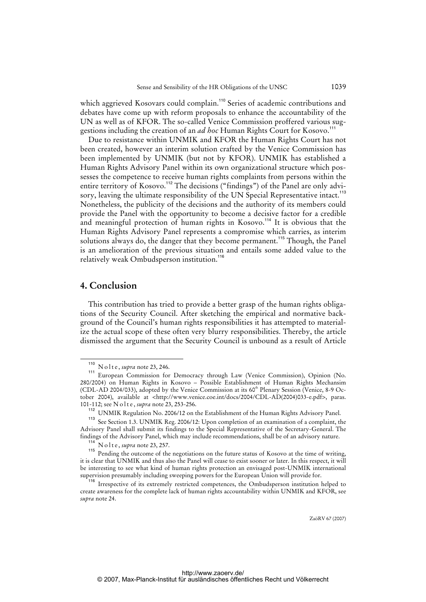which aggrieved Kosovars could complain.<sup>110</sup> Series of academic contributions and debates have come up with reform proposals to enhance the accountability of the UN as well as of KFOR. The so-called Venice Commission proffered various suggestions including the creation of an *ad hoc* Human Rights Court for Kosovo.<sup>111</sup>

Due to resistance within UNMIK and KFOR the Human Rights Court has not been created, however an interim solution crafted by the Venice Commission has been implemented by UNMIK (but not by KFOR). UNMIK has established a Human Rights Advisory Panel within its own organizational structure which possesses the competence to receive human rights complaints from persons within the entire territory of Kosovo.<sup>112</sup> The decisions ("findings") of the Panel are only advisory, leaving the ultimate responsibility of the UN Special Representative intact.<sup>113</sup> Nonetheless, the publicity of the decisions and the authority of its members could provide the Panel with the opportunity to become a decisive factor for a credible and meaningful protection of human rights in Kosovo.<sup>114</sup> It is obvious that the Human Rights Advisory Panel represents a compromise which carries, as interim solutions always do, the danger that they become permanent.<sup>115</sup> Though, the Panel is an amelioration of the previous situation and entails some added value to the relatively weak Ombudsperson institution.<sup>116</sup>

### **4. Conclusion**

This contribution has tried to provide a better grasp of the human rights obligations of the Security Council. After sketching the empirical and normative background of the Council's human rights responsibilities it has attempted to materialize the actual scope of these often very blurry responsibilities. Thereby, the article dismissed the argument that the Security Council is unbound as a result of Article

<sup>110</sup> N o l t e , *supra* note 23, 246.

<sup>111</sup> European Commission for Democracy through Law (Venice Commission), Opinion (No. 280/2004) on Human Rights in Kosovo – Possible Establishment of Human Rights Mechansim (CDL-AD 2004/033), adopted by the Venice Commission at its 60<sup>th</sup> Plenary Session (Venice, 8-9 October 2004), available at <[http://www.venice.coe.int/docs/2004/CDL-AD\(2004\)033-e.pdf](http://www.venice.coe.int/docs/2004/CDL-AD(2004)033-e.pdf)>, paras. 101-112; see N o l t e , *supra* note 23, 253-256.

<sup>&</sup>lt;sup>112</sup> UNMIK Regulation No. 2006/12 on the Establishment of the Human Rights Advisory Panel.

See Section 1.3. UNMIK Reg. 2006/12: Upon completion of an examination of a complaint, the Advisory Panel shall submit its findings to the Special Representative of the Secretary-General. The findings of the Advisory Panel, which may include recommendations, shall be of an advisory nature.

<sup>&</sup>lt;sup>114</sup> N o l t e , *supra* note 23, 257.

Pending the outcome of the negotiations on the future status of Kosovo at the time of writing, it is clear that UNMIK and thus also the Panel will cease to exist sooner or later. In this respect, it will be interesting to see what kind of human rights protection an envisaged post-UNMIK international supervision presumably including sweeping powers for the European Union will provide for.

<sup>&</sup>lt;sup>116</sup> Irrespective of its extremely restricted competences, the Ombudsperson institution helped to create awareness for the complete lack of human rights accountability within UNMIK and KFOR, see *supra* note 24.